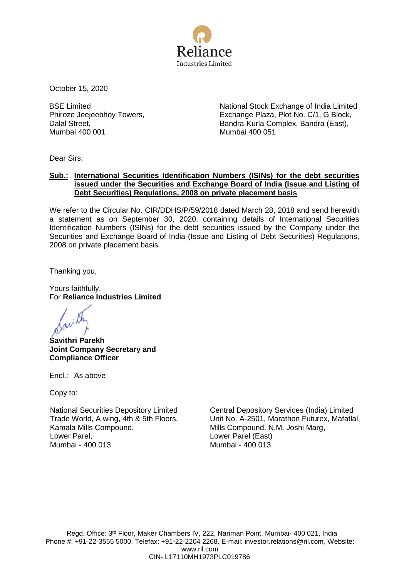

October 15, 2020

BSE Limited Phiroze Jeejeebhoy Towers, Dalal Street, Mumbai 400 001

National Stock Exchange of India Limited Exchange Plaza, Plot No. C/1, G Block, Bandra-Kurla Complex, Bandra (East), Mumbai 400 051

Dear Sirs,

# **Sub.: International Securities Identification Numbers (ISINs) for the debt securities issued under the Securities and Exchange Board of India (Issue and Listing of Debt Securities) Regulations, 2008 on private placement basis**

We refer to the Circular No. CIR/DDHS/P/59/2018 dated March 28, 2018 and send herewith a statement as on September 30, 2020, containing details of International Securities Identification Numbers (ISINs) for the debt securities issued by the Company under the Securities and Exchange Board of India (Issue and Listing of Debt Securities) Regulations, 2008 on private placement basis.

Thanking you,

Yours faithfully, For **Reliance Industries Limited**

**Savithri Parekh Joint Company Secretary and Compliance Officer**

Encl.: As above

Copy to:

National Securities Depository Limited Trade World, A wing, 4th & 5th Floors, Kamala Mills Compound, Lower Parel, Mumbai - 400 013

Central Depository Services (India) Limited Unit No. A-2501, Marathon Futurex, Mafatlal Mills Compound, N.M. Joshi Marg, Lower Parel (East) Mumbai - 400 013